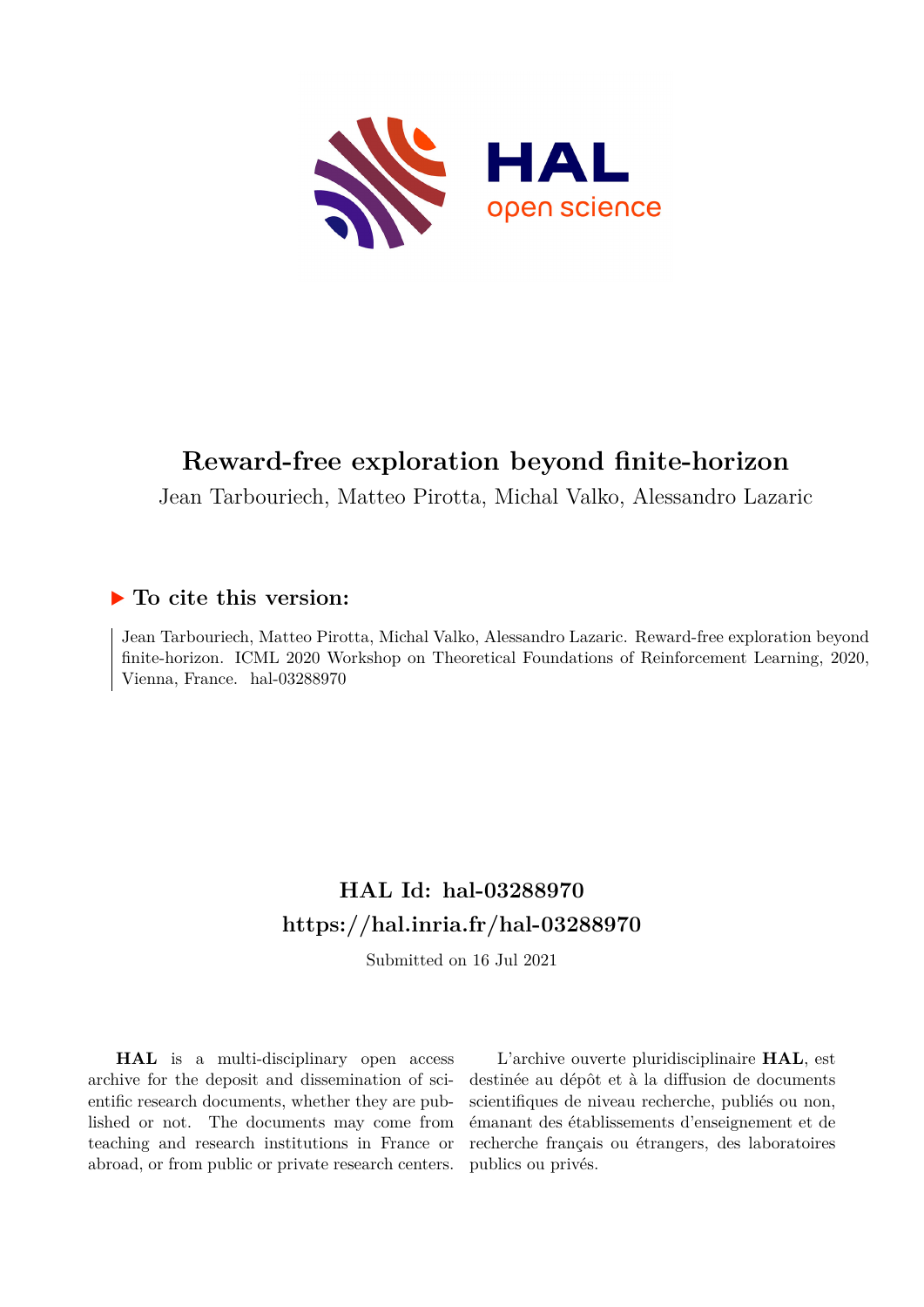

# **Reward-free exploration beyond finite-horizon**

Jean Tarbouriech, Matteo Pirotta, Michal Valko, Alessandro Lazaric

## **To cite this version:**

Jean Tarbouriech, Matteo Pirotta, Michal Valko, Alessandro Lazaric. Reward-free exploration beyond finite-horizon. ICML 2020 Workshop on Theoretical Foundations of Reinforcement Learning, 2020, Vienna, France.  $hal-03288970$ 

# **HAL Id: hal-03288970 <https://hal.inria.fr/hal-03288970>**

Submitted on 16 Jul 2021

**HAL** is a multi-disciplinary open access archive for the deposit and dissemination of scientific research documents, whether they are published or not. The documents may come from teaching and research institutions in France or abroad, or from public or private research centers.

L'archive ouverte pluridisciplinaire **HAL**, est destinée au dépôt et à la diffusion de documents scientifiques de niveau recherche, publiés ou non, émanant des établissements d'enseignement et de recherche français ou étrangers, des laboratoires publics ou privés.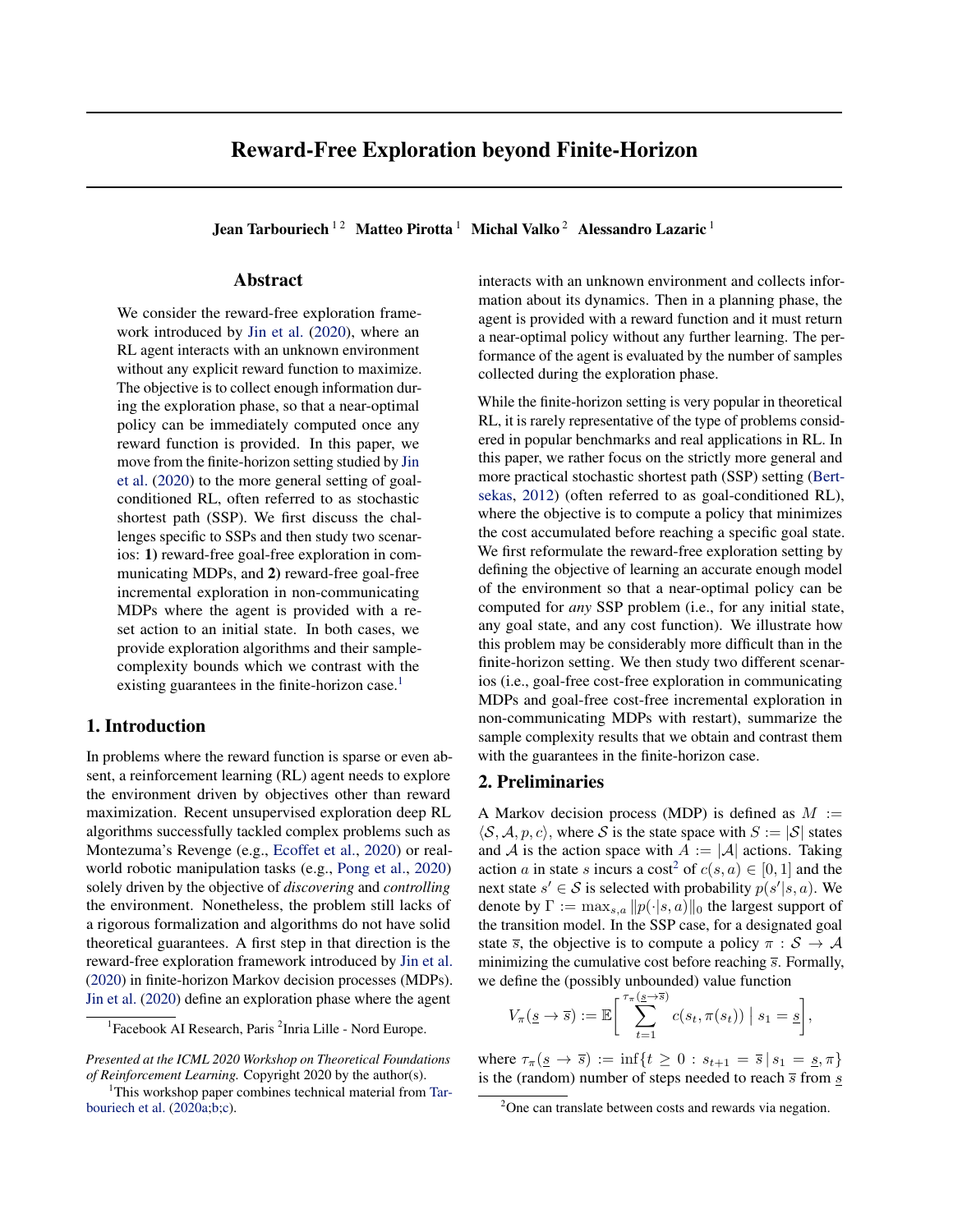## Reward-Free Exploration beyond Finite-Horizon

Jean Tarbouriech<sup>12</sup> Matteo Pirotta<sup>1</sup> Michal Valko<sup>2</sup> Alessandro Lazaric<sup>1</sup>

#### Abstract

We consider the reward-free exploration framework introduced by Jin et al. (2020), where an RL agent interacts with an unknown environment without any explicit reward function to maximize. The objective is to collect enough information during the exploration phase, so that a near-optimal policy can be immediately computed once any reward function is provided. In this paper, we move from the finite-horizon setting studied by Jin et al. (2020) to the more general setting of goalconditioned RL, often referred to as stochastic shortest path (SSP). We first discuss the challenges specific to SSPs and then study two scenarios: 1) reward-free goal-free exploration in communicating MDPs, and 2) reward-free goal-free incremental exploration in non-communicating MDPs where the agent is provided with a reset action to an initial state. In both cases, we provide exploration algorithms and their samplecomplexity bounds which we contrast with the existing guarantees in the finite-horizon case.<sup>1</sup>

#### 1. Introduction

In problems where the reward function is sparse or even absent, a reinforcement learning (RL) agent needs to explore the environment driven by objectives other than reward maximization. Recent unsupervised exploration deep RL algorithms successfully tackled complex problems such as Montezuma's Revenge (e.g., Ecoffet et al., 2020) or realworld robotic manipulation tasks (e.g., Pong et al., 2020) solely driven by the objective of *discovering* and *controlling* the environment. Nonetheless, the problem still lacks of a rigorous formalization and algorithms do not have solid theoretical guarantees. A first step in that direction is the reward-free exploration framework introduced by Jin et al. (2020) in finite-horizon Markov decision processes (MDPs). Jin et al. (2020) define an exploration phase where the agent

*Presented at the ICML 2020 Workshop on Theoretical Foundations of Reinforcement Learning.* Copyright 2020 by the author(s).

interacts with an unknown environment and collects information about its dynamics. Then in a planning phase, the agent is provided with a reward function and it must return a near-optimal policy without any further learning. The performance of the agent is evaluated by the number of samples collected during the exploration phase.

While the finite-horizon setting is very popular in theoretical RL, it is rarely representative of the type of problems considered in popular benchmarks and real applications in RL. In this paper, we rather focus on the strictly more general and more practical stochastic shortest path (SSP) setting (Bertsekas, 2012) (often referred to as goal-conditioned RL), where the objective is to compute a policy that minimizes the cost accumulated before reaching a specific goal state. We first reformulate the reward-free exploration setting by defining the objective of learning an accurate enough model of the environment so that a near-optimal policy can be computed for *any* SSP problem (i.e., for any initial state, any goal state, and any cost function). We illustrate how this problem may be considerably more difficult than in the finite-horizon setting. We then study two different scenarios (i.e., goal-free cost-free exploration in communicating MDPs and goal-free cost-free incremental exploration in non-communicating MDPs with restart), summarize the sample complexity results that we obtain and contrast them with the guarantees in the finite-horizon case.

#### 2. Preliminaries

A Markov decision process (MDP) is defined as  $M :=$  $\langle \mathcal{S}, \mathcal{A}, p, c \rangle$ , where S is the state space with  $S := |\mathcal{S}|$  states and A is the action space with  $A := |\mathcal{A}|$  actions. Taking action a in state s incurs a cost<sup>2</sup> of  $c(s, a) \in [0, 1]$  and the next state  $s' \in S$  is selected with probability  $p(s'|s, a)$ . We denote by  $\Gamma := \max_{s,a} ||p(\cdot|s, a)||_0$  the largest support of the transition model. In the SSP case, for a designated goal state  $\overline{s}$ , the objective is to compute a policy  $\pi : \mathcal{S} \to \mathcal{A}$ minimizing the cumulative cost before reaching  $\bar{s}$ . Formally, we define the (possibly unbounded) value function

$$
V_{\pi}(\underline{s} \to \overline{s}) := \mathbb{E}\bigg[\sum_{t=1}^{\tau_{\pi}(\underline{s} \to \overline{s})} c(s_t, \pi(s_t)) \mid s_1 = \underline{s}\bigg],
$$

where  $\tau_{\pi}(\underline{s} \to \overline{s}) := \inf\{t \geq 0 : s_{t+1} = \overline{s} \mid s_1 = \underline{s}, \pi\}$ is the (random) number of steps needed to reach  $\overline{s}$  from  $\overline{s}$ 

<sup>&</sup>lt;sup>1</sup> Facebook AI Research, Paris<sup>2</sup> Inria Lille - Nord Europe.

<sup>&</sup>lt;sup>1</sup>This workshop paper combines technical material from Tarbouriech et al. (2020a;b;c).

<sup>&</sup>lt;sup>2</sup>One can translate between costs and rewards via negation.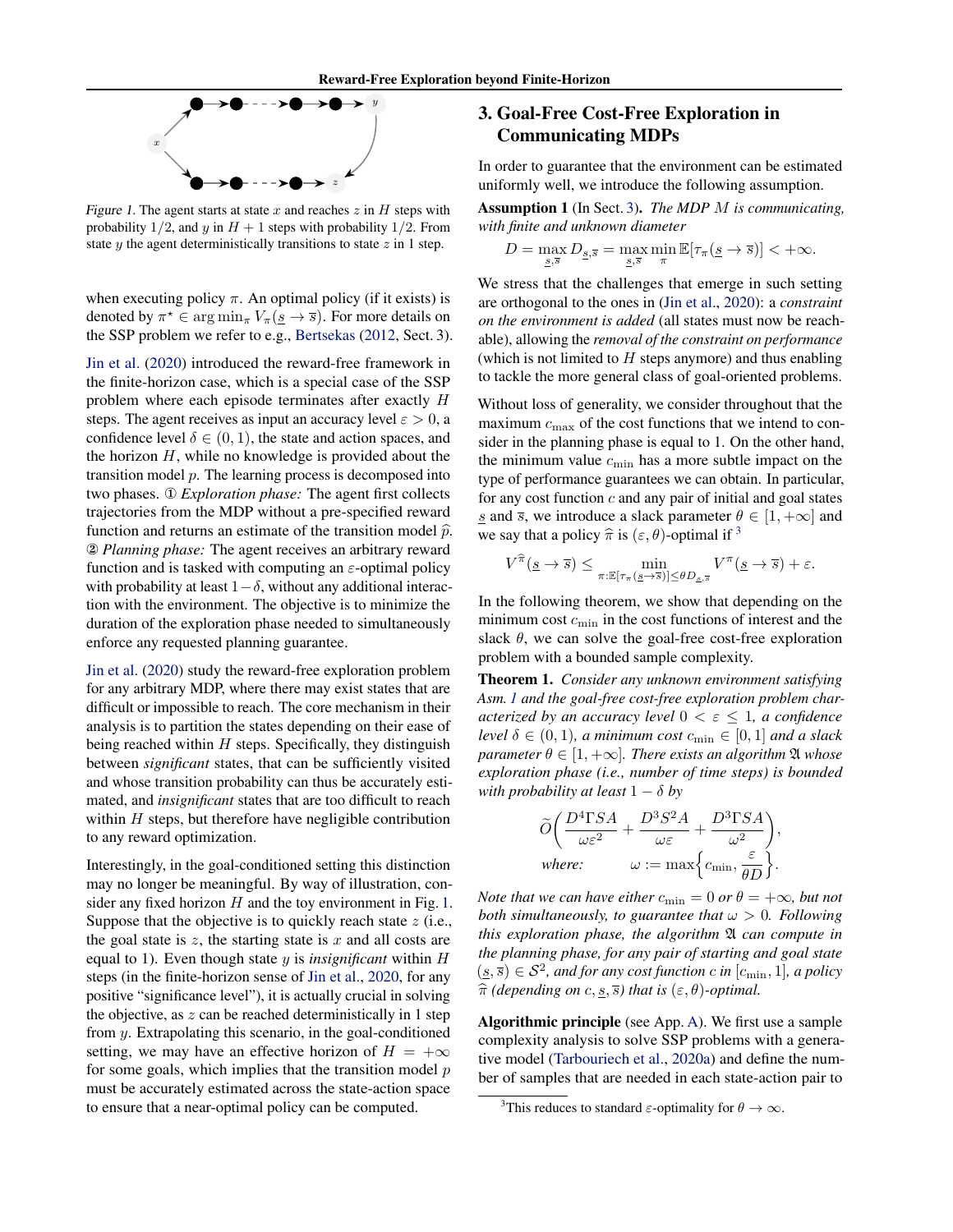

Figure 1. The agent starts at state x and reaches  $z$  in  $H$  steps with probability 1/2, and y in  $H + 1$  steps with probability 1/2. From state  $y$  the agent deterministically transitions to state  $z$  in 1 step.

when executing policy  $\pi$ . An optimal policy (if it exists) is denoted by  $\pi^* \in \arg \min_{\pi} V_{\pi}(\underline{s} \to \overline{s})$ . For more details on the SSP problem we refer to e.g., Bertsekas (2012, Sect. 3).

Jin et al. (2020) introduced the reward-free framework in the finite-horizon case, which is a special case of the SSP problem where each episode terminates after exactly H steps. The agent receives as input an accuracy level  $\varepsilon > 0$ , a confidence level  $\delta \in (0, 1)$ , the state and action spaces, and the horizon  $H$ , while no knowledge is provided about the transition model  $p$ . The learning process is decomposed into two phases. ① *Exploration phase:* The agent first collects trajectories from the MDP without a pre-specified reward function and returns an estimate of the transition model  $\hat{p}$ . ② *Planning phase:* The agent receives an arbitrary reward function and is tasked with computing an  $\varepsilon$ -optimal policy with probability at least  $1-\delta$ , without any additional interaction with the environment. The objective is to minimize the duration of the exploration phase needed to simultaneously enforce any requested planning guarantee.

Jin et al. (2020) study the reward-free exploration problem for any arbitrary MDP, where there may exist states that are difficult or impossible to reach. The core mechanism in their analysis is to partition the states depending on their ease of being reached within  $H$  steps. Specifically, they distinguish between *significant* states, that can be sufficiently visited and whose transition probability can thus be accurately estimated, and *insignificant* states that are too difficult to reach within  $H$  steps, but therefore have negligible contribution to any reward optimization.

Interestingly, in the goal-conditioned setting this distinction may no longer be meaningful. By way of illustration, consider any fixed horizon  $H$  and the toy environment in Fig. 1. Suppose that the objective is to quickly reach state  $z$  (i.e., the goal state is  $z$ , the starting state is  $x$  and all costs are equal to 1). Even though state y is *insignificant* within H steps (in the finite-horizon sense of Jin et al., 2020, for any positive "significance level"), it is actually crucial in solving the objective, as  $z$  can be reached deterministically in 1 step from y. Extrapolating this scenario, in the goal-conditioned setting, we may have an effective horizon of  $H = +\infty$ for some goals, which implies that the transition model  $p$ must be accurately estimated across the state-action space to ensure that a near-optimal policy can be computed.

### 3. Goal-Free Cost-Free Exploration in Communicating MDPs

In order to guarantee that the environment can be estimated uniformly well, we introduce the following assumption.

Assumption 1 (In Sect. 3). *The MDP* M *is communicating, with finite and unknown diameter*

$$
D=\max_{\underline{s},\overline{s}}D_{\underline{s},\overline{s}}=\max_{\underline{s},\overline{s}}\min_{\pi}\mathbb{E}[\tau_{\pi}(\underline{s}\rightarrow \overline{s})]<+\infty.
$$

We stress that the challenges that emerge in such setting are orthogonal to the ones in (Jin et al., 2020): a *constraint on the environment is added* (all states must now be reachable), allowing the *removal of the constraint on performance* (which is not limited to  $H$  steps anymore) and thus enabling to tackle the more general class of goal-oriented problems.

Without loss of generality, we consider throughout that the maximum  $c_{\text{max}}$  of the cost functions that we intend to consider in the planning phase is equal to 1. On the other hand, the minimum value  $c_{\min}$  has a more subtle impact on the type of performance guarantees we can obtain. In particular, for any cost function  $c$  and any pair of initial and goal states s and  $\overline{s}$ , we introduce a slack parameter  $\theta \in [1, +\infty]$  and we say that a policy  $\hat{\pi}$  is  $(\varepsilon, \theta)$ -optimal if <sup>3</sup>

$$
V^{\widehat{\pi}}(\underline{s}\to \overline{s}) \le \min_{\pi: \mathbb{E}[\tau_{\pi}(\underline{s}\to \overline{s})] \le \theta D_{\underline{s}, \overline{s}}} V^{\pi}(\underline{s}\to \overline{s}) + \varepsilon.
$$

In the following theorem, we show that depending on the minimum cost  $c_{\min}$  in the cost functions of interest and the slack  $\theta$ , we can solve the goal-free cost-free exploration problem with a bounded sample complexity.

Theorem 1. *Consider any unknown environment satisfying Asm. 1 and the goal-free cost-free exploration problem characterized by an accuracy level*  $0 < \varepsilon \leq 1$ *, a confidence level*  $\delta \in (0, 1)$ *, a minimum cost*  $c_{\min} \in [0, 1]$  *and a slack parameter*  $\theta \in [1, +\infty]$ *. There exists an algorithm*  $\mathfrak{A}$  *whose exploration phase (i.e., number of time steps) is bounded with probability at least*  $1 - \delta$  *by* 

$$
\widetilde{O}\bigg(\frac{D^4\Gamma SA}{\omega\varepsilon^2} + \frac{D^3S^2A}{\omega\varepsilon} + \frac{D^3\Gamma SA}{\omega^2}\bigg),\,
$$
  
where:  

$$
\omega := \max\left\{c_{\min}, \frac{\varepsilon}{\theta D}\right\}.
$$

*Note that we can have either*  $c_{\min} = 0$  *or*  $\theta = +\infty$ *, but not both simultaneously, to guarantee that*  $\omega > 0$ *. Following this exploration phase, the algorithm*  $\mathfrak A$  *can compute in the planning phase, for any pair of starting and goal state*  $(\underline{s}, \overline{s}) \in S^2$ , and for any cost function c in  $[c_{\min}, 1]$ , a policy  $\hat{\pi}$  *(depending on* c, <u>s</u>,  $\overline{s}$ *)* that is  $(\varepsilon, \theta)$ *-optimal.* 

Algorithmic principle (see App. A). We first use a sample complexity analysis to solve SSP problems with a generative model (Tarbouriech et al., 2020a) and define the number of samples that are needed in each state-action pair to

<sup>&</sup>lt;sup>3</sup>This reduces to standard  $\varepsilon$ -optimality for  $\theta \to \infty$ .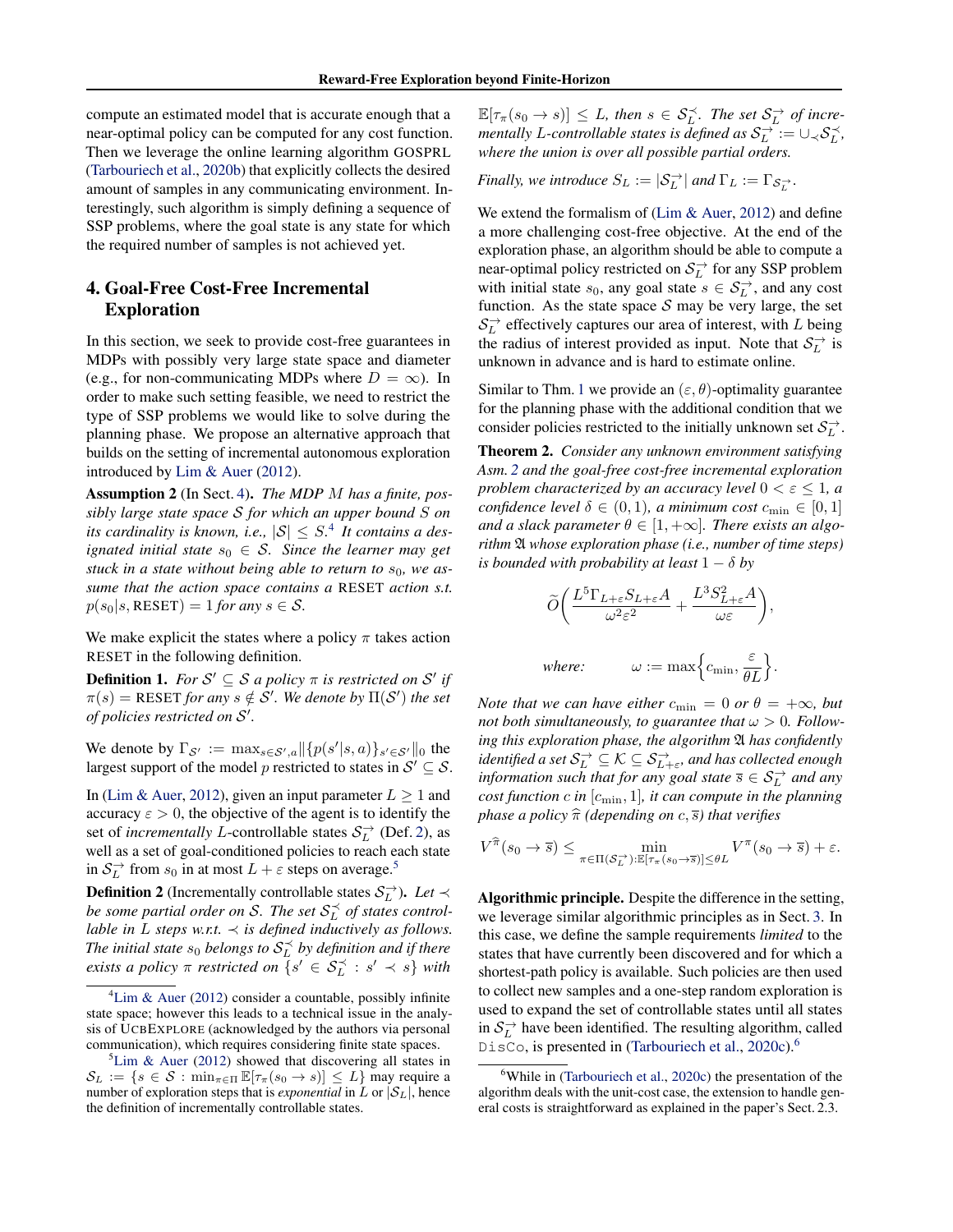compute an estimated model that is accurate enough that a near-optimal policy can be computed for any cost function. Then we leverage the online learning algorithm GOSPRL (Tarbouriech et al., 2020b) that explicitly collects the desired amount of samples in any communicating environment. Interestingly, such algorithm is simply defining a sequence of SSP problems, where the goal state is any state for which the required number of samples is not achieved yet.

### 4. Goal-Free Cost-Free Incremental Exploration

In this section, we seek to provide cost-free guarantees in MDPs with possibly very large state space and diameter (e.g., for non-communicating MDPs where  $D = \infty$ ). In order to make such setting feasible, we need to restrict the type of SSP problems we would like to solve during the planning phase. We propose an alternative approach that builds on the setting of incremental autonomous exploration introduced by Lim & Auer (2012).

Assumption 2 (In Sect. 4). *The MDP* M *has a finite, possibly large state space* S *for which an upper bound* S *on* its cardinality is known, i.e.,  $|S| \leq S$ .<sup>4</sup> It contains a des*ignated initial state*  $s_0 \in S$ *. Since the learner may get* stuck in a state without being able to return to  $s_0$ , we as*sume that the action space contains a* RESET *action s.t.*  $p(s_0|s, \text{RESET}) = 1$  *for any*  $s \in \mathcal{S}$ .

We make explicit the states where a policy  $\pi$  takes action RESET in the following definition.

**Definition 1.** For  $S' \subseteq S$  a policy  $\pi$  is restricted on  $S'$  if  $\pi(s) = \text{RESET}$  *for any*  $s \notin \mathcal{S}'$ . We denote by  $\Pi(\mathcal{S}')$  *the set of policies restricted on* S 0 *.*

We denote by  $\Gamma_{\mathcal{S}'} := \max_{s \in \mathcal{S}',a} ||\{p(s'|s,a)\}_{s' \in \mathcal{S}'}||_0$  the largest support of the model p restricted to states in  $S' \subseteq S$ .

In (Lim & Auer, 2012), given an input parameter  $L \ge 1$  and accuracy  $\varepsilon > 0$ , the objective of the agent is to identify the set of *incrementally* L-controllable states  $S_L^{\rightarrow}$  (Def. 2), as well as a set of goal-conditioned policies to reach each state in  $S_L^{\rightarrow}$  from  $s_0$  in at most  $L + \varepsilon$  steps on average.<sup>5</sup>

**Definition 2** (Incrementally controllable states  $S_L^{\rightarrow}$ ). Let  $\prec$ be some partial order on S. The set  $\mathcal{S}^{\prec}_L$  of states control*lable in L steps w.r.t.*  $\prec$  *is defined inductively as follows.* The initial state  $s_0$  belongs to  $\mathcal{S}_L^\prec$  by definition and if there *exists a policy*  $\pi$  *restricted on*  $\{s' \in S_L^{\prec} : s' \prec s\}$  *with* 

 $\mathbb{E}[\tau_{\pi}(s_0 \to s)] \leq L$ , then  $s \in \mathcal{S}_L^{\prec}$ . The set  $\mathcal{S}_L^{\to}$  of incre*mentally L*-controllable states is defined as  $\mathcal{S}_L^{\rightarrow} := \cup_{\prec} \mathcal{S}_L^{\prec}$ , *where the union is over all possible partial orders.*

*Finally, we introduce*  $S_L := |\mathcal{S}_L^{\rightarrow}|$  *and*  $\Gamma_L := \Gamma_{\mathcal{S}_L^{\rightarrow}}$ *.* 

We extend the formalism of (Lim & Auer, 2012) and define a more challenging cost-free objective. At the end of the exploration phase, an algorithm should be able to compute a near-optimal policy restricted on  $S_L^{\rightarrow}$  for any SSP problem with initial state  $s_0$ , any goal state  $s \in S_L^{\rightarrow}$ , and any cost function. As the state space  $S$  may be very large, the set  $S_L^{\rightarrow}$  effectively captures our area of interest, with L being the radius of interest provided as input. Note that  $S_L^{\rightarrow}$  is unknown in advance and is hard to estimate online.

Similar to Thm. 1 we provide an  $(\varepsilon, \theta)$ -optimality guarantee for the planning phase with the additional condition that we consider policies restricted to the initially unknown set  $\mathcal{S}_L^{\rightarrow}$ .

Theorem 2. *Consider any unknown environment satisfying Asm. 2 and the goal-free cost-free incremental exploration problem characterized by an accuracy level*  $0 < \varepsilon \leq 1$ , a *confidence level*  $\delta \in (0,1)$ *, a minimum cost*  $c_{\min} \in [0,1]$ and a slack parameter  $\theta \in [1, +\infty]$ . There exists an algo*rithm* A *whose exploration phase (i.e., number of time steps) is bounded with probability at least*  $1 - \delta$  *by* 

$$
\widetilde{O}\bigg(\frac{L^5\Gamma_{L+\varepsilon}S_{L+\varepsilon}A}{\omega^2\varepsilon^2} + \frac{L^3S_{L+\varepsilon}^2A}{\omega\varepsilon}\bigg),
$$
  
where:  

$$
\omega := \max\Big\{c_{\min}, \frac{\varepsilon}{\theta L}\Big\}.
$$

*Note that we can have either*  $c_{\min} = 0$  *or*  $\theta = +\infty$ *, but not both simultaneously, to guarantee that*  $\omega > 0$ *. Following this exploration phase, the algorithm*  $\mathfrak A$  *has confidently* identified a set  $\mathcal{S}^\rightarrow_L \subseteq \mathcal{K} \subseteq \mathcal{S}^\rightarrow_{L+\varepsilon}$ , and has collected enough *information such that for any goal state*  $\overline{s} \in S_L^{\rightarrow}$  *and any cost function*  $c$  *in*  $[c_{\min}, 1]$ *, it can compute in the planning phase a policy*  $\hat{\pi}$  *(depending on* c,  $\overline{s}$ *) that verifies* 

$$
V^{\widehat{\pi}}(s_0 \to \overline{s}) \le \min_{\pi \in \Pi(\mathcal{S}_L^{\to}) : \mathbb{E}[\tau_\pi(s_0 \to \overline{s})] \le \theta L} V^{\pi}(s_0 \to \overline{s}) + \varepsilon.
$$

Algorithmic principle. Despite the difference in the setting, we leverage similar algorithmic principles as in Sect. 3. In this case, we define the sample requirements *limited* to the states that have currently been discovered and for which a shortest-path policy is available. Such policies are then used to collect new samples and a one-step random exploration is used to expand the set of controllable states until all states in  $S_L^{\rightarrow}$  have been identified. The resulting algorithm, called DisCo, is presented in (Tarbouriech et al., 2020c).<sup>6</sup>

<sup>&</sup>lt;sup>4</sup>Lim & Auer (2012) consider a countable, possibly infinite state space; however this leads to a technical issue in the analysis of UCBEXPLORE (acknowledged by the authors via personal communication), which requires considering finite state spaces.

 ${}^{5}$ Lim & Auer (2012) showed that discovering all states in  $\mathcal{S}_L := \{s \in \mathcal{S} : \min_{\pi \in \Pi} \mathbb{E}[\tau_\pi(s_0 \to s)] \leq L\}$  may require a number of exploration steps that is *exponential* in L or  $|\mathcal{S}_L|$ , hence the definition of incrementally controllable states.

 $6$ While in (Tarbouriech et al., 2020c) the presentation of the algorithm deals with the unit-cost case, the extension to handle general costs is straightforward as explained in the paper's Sect. 2.3.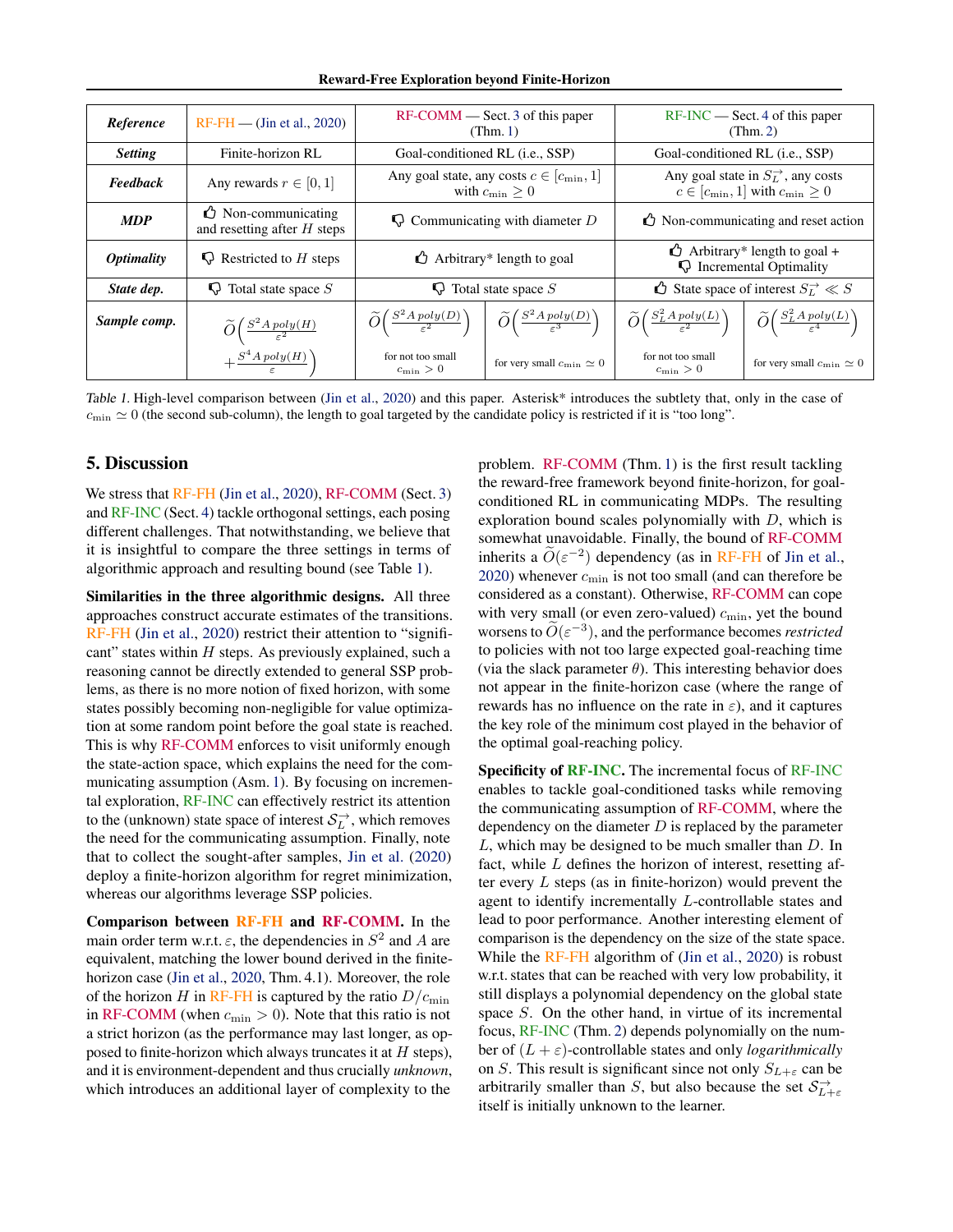Reward-Free Exploration beyond Finite-Horizon

| Reference                | $RF$ - $FH$ — (Jin et al., 2020)                                     | $RF-COMM$ $-$ Sect. 3 of this paper<br>(Thm. 1)                        |                                                               | $RF-INC$ Sect. 4 of this paper<br>(Thm. 2)                                                        |                                                                      |
|--------------------------|----------------------------------------------------------------------|------------------------------------------------------------------------|---------------------------------------------------------------|---------------------------------------------------------------------------------------------------|----------------------------------------------------------------------|
| <b>Setting</b>           | Finite-horizon RL                                                    | Goal-conditioned RL (i.e., SSP)                                        |                                                               | Goal-conditioned RL (i.e., SSP)                                                                   |                                                                      |
| <b>Feedback</b>          | Any rewards $r \in [0, 1]$                                           | Any goal state, any costs $c \in [c_{\min}, 1]$<br>with $c_{\min} > 0$ |                                                               | Any goal state in $S_L^{\rightarrow}$ , any costs<br>$c \in [c_{\min}, 1]$ with $c_{\min} \geq 0$ |                                                                      |
| <b>MDP</b>               | $\bigcirc$ Non-communicating<br>and resetting after $H$ steps        | $\bigcirc$ Communicating with diameter D                               |                                                               | $\triangle$ Non-communicating and reset action                                                    |                                                                      |
| <i><b>Optimality</b></i> | $\bigcirc$ Restricted to H steps                                     | $\triangle$ Arbitrary* length to goal                                  |                                                               | $\triangle$ Arbitrary* length to goal +<br><b>Q</b> Incremental Optimality                        |                                                                      |
| State dep.               | $\bigcirc$ Total state space S                                       | $\bigcirc$ Total state space S                                         |                                                               | $\bigcirc$ State space of interest $S_L^{\rightarrow} \ll S$                                      |                                                                      |
| Sample comp.             | $\widetilde{O}\Big(\frac{S^2 A \text{ poly}(H)}{\varepsilon^2}\Big)$ | $\widetilde{O}\left(\frac{S^2Apoly(D)}{\varepsilon^2}\right)$          | $\widetilde{O}\left(\frac{S^2Apoly(D)}{\varepsilon^3}\right)$ | $\widetilde{O}\left(\frac{S_L^2Apoly(L)}{\varepsilon^2}\right)$                                   | $\widetilde{O}\left(\frac{S_L^2 A \, poly(L)}{\varepsilon^4}\right)$ |
|                          | $+\frac{S^4 A \, poly(H)}{\varepsilon}$                              | for not too small<br>$c_{\min} > 0$                                    | for very small $c_{\min} \simeq 0$                            | for not too small<br>$c_{\min} > 0$                                                               | for very small $c_{\min} \simeq 0$                                   |

Table 1. High-level comparison between (Jin et al., 2020) and this paper. Asterisk\* introduces the subtlety that, only in the case of  $c_{\text{min}} \simeq 0$  (the second sub-column), the length to goal targeted by the candidate policy is restricted if it is "too long".

#### 5. Discussion

We stress that RF-FH (Jin et al., 2020), RF-COMM (Sect. 3) and RF-INC (Sect. 4) tackle orthogonal settings, each posing different challenges. That notwithstanding, we believe that it is insightful to compare the three settings in terms of algorithmic approach and resulting bound (see Table 1).

Similarities in the three algorithmic designs. All three approaches construct accurate estimates of the transitions. RF-FH (Jin et al., 2020) restrict their attention to "significant" states within  $H$  steps. As previously explained, such a reasoning cannot be directly extended to general SSP problems, as there is no more notion of fixed horizon, with some states possibly becoming non-negligible for value optimization at some random point before the goal state is reached. This is why RF-COMM enforces to visit uniformly enough the state-action space, which explains the need for the communicating assumption (Asm. 1). By focusing on incremental exploration, RF-INC can effectively restrict its attention to the (unknown) state space of interest  $S_L^{\rightarrow}$ , which removes the need for the communicating assumption. Finally, note that to collect the sought-after samples, Jin et al. (2020) deploy a finite-horizon algorithm for regret minimization, whereas our algorithms leverage SSP policies.

Comparison between RF-FH and RF-COMM. In the main order term w.r.t.  $\varepsilon$ , the dependencies in  $S^2$  and A are equivalent, matching the lower bound derived in the finitehorizon case (Jin et al., 2020, Thm. 4.1). Moreover, the role of the horizon H in RF-FH is captured by the ratio  $D/c_{\text{min}}$ in RF-COMM (when  $c_{\min} > 0$ ). Note that this ratio is not a strict horizon (as the performance may last longer, as opposed to finite-horizon which always truncates it at  $H$  steps), and it is environment-dependent and thus crucially *unknown*, which introduces an additional layer of complexity to the

problem. RF-COMM (Thm. 1) is the first result tackling the reward-free framework beyond finite-horizon, for goalconditioned RL in communicating MDPs. The resulting exploration bound scales polynomially with  $D$ , which is somewhat unavoidable. Finally, the bound of RF-COMM inherits a  $\widetilde{O}(\varepsilon^{-2})$  dependency (as in RF-FH of Jin et al.,  $2020$ ) whenever  $c_{\text{min}}$  is not too small (and can therefore be considered as a constant). Otherwise, RF-COMM can cope with very small (or even zero-valued)  $c_{\text{min}}$ , yet the bound worsens to  $\widetilde{O}(\varepsilon^{-3})$ , and the performance becomes *restricted* to policies with not too large expected goal-reaching time (via the slack parameter  $\theta$ ). This interesting behavior does not appear in the finite-horizon case (where the range of rewards has no influence on the rate in  $\varepsilon$ ), and it captures the key role of the minimum cost played in the behavior of the optimal goal-reaching policy.

Specificity of RF-INC. The incremental focus of RF-INC enables to tackle goal-conditioned tasks while removing the communicating assumption of RF-COMM, where the dependency on the diameter  $D$  is replaced by the parameter L, which may be designed to be much smaller than D. In fact, while  $L$  defines the horizon of interest, resetting after every  $L$  steps (as in finite-horizon) would prevent the agent to identify incrementally L-controllable states and lead to poor performance. Another interesting element of comparison is the dependency on the size of the state space. While the RF-FH algorithm of (Jin et al., 2020) is robust w.r.t. states that can be reached with very low probability, it still displays a polynomial dependency on the global state space S. On the other hand, in virtue of its incremental focus, RF-INC (Thm. 2) depends polynomially on the number of  $(L + \varepsilon)$ -controllable states and only *logarithmically* on S. This result is significant since not only  $S_{L+\varepsilon}$  can be arbitrarily smaller than S, but also because the set  $S_{L+\varepsilon}$ itself is initially unknown to the learner.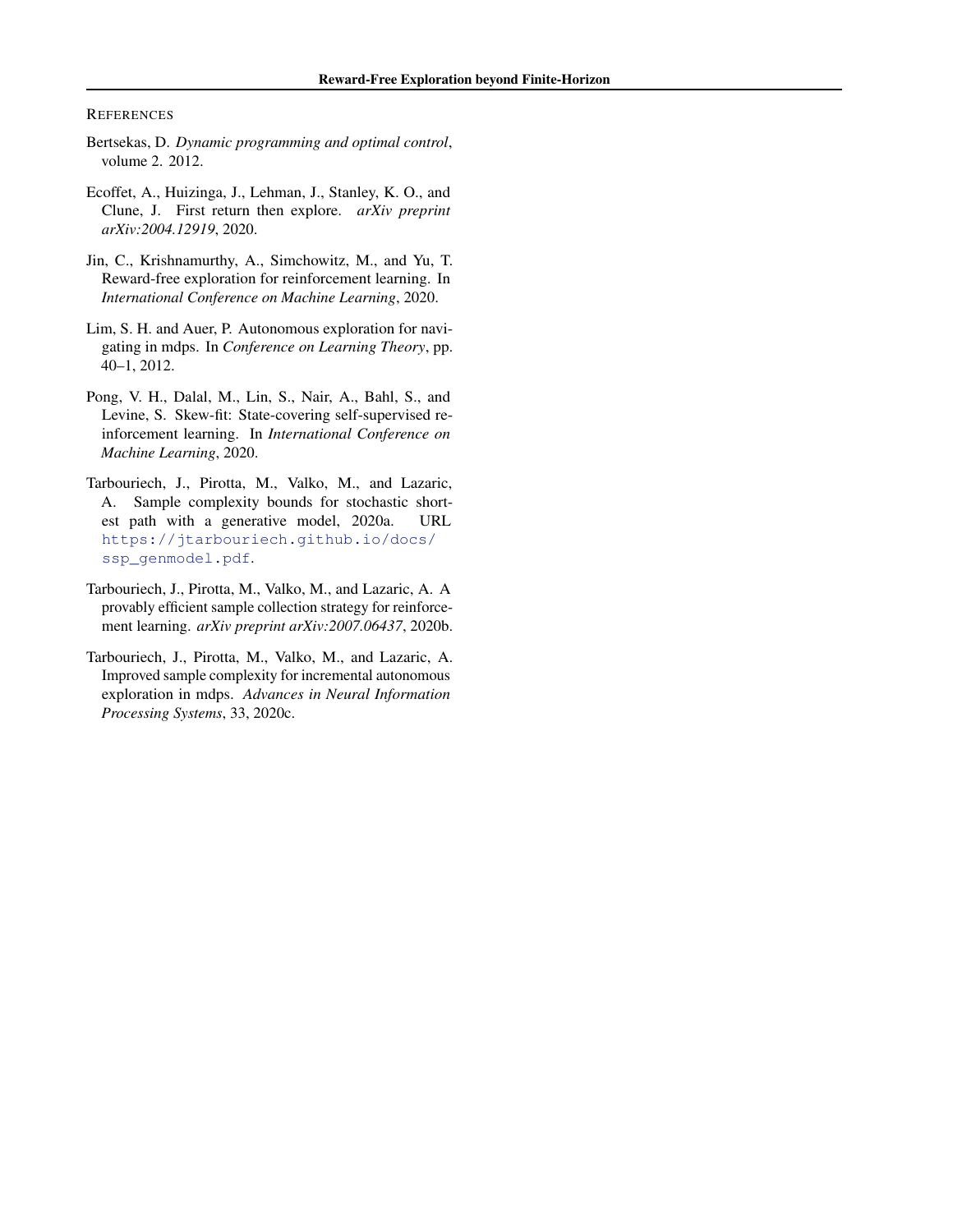**REFERENCES** 

- Bertsekas, D. *Dynamic programming and optimal control*, volume 2. 2012.
- Ecoffet, A., Huizinga, J., Lehman, J., Stanley, K. O., and Clune, J. First return then explore. *arXiv preprint arXiv:2004.12919*, 2020.
- Jin, C., Krishnamurthy, A., Simchowitz, M., and Yu, T. Reward-free exploration for reinforcement learning. In *International Conference on Machine Learning*, 2020.
- Lim, S. H. and Auer, P. Autonomous exploration for navigating in mdps. In *Conference on Learning Theory*, pp. 40–1, 2012.
- Pong, V. H., Dalal, M., Lin, S., Nair, A., Bahl, S., and Levine, S. Skew-fit: State-covering self-supervised reinforcement learning. In *International Conference on Machine Learning*, 2020.
- Tarbouriech, J., Pirotta, M., Valko, M., and Lazaric, A. Sample complexity bounds for stochastic shortest path with a generative model, 2020a. URL [https://jtarbouriech.github.io/docs/](https://jtarbouriech.github.io/docs/ssp_genmodel.pdf) [ssp\\_genmodel.pdf](https://jtarbouriech.github.io/docs/ssp_genmodel.pdf).
- Tarbouriech, J., Pirotta, M., Valko, M., and Lazaric, A. A provably efficient sample collection strategy for reinforcement learning. *arXiv preprint arXiv:2007.06437*, 2020b.
- Tarbouriech, J., Pirotta, M., Valko, M., and Lazaric, A. Improved sample complexity for incremental autonomous exploration in mdps. *Advances in Neural Information Processing Systems*, 33, 2020c.